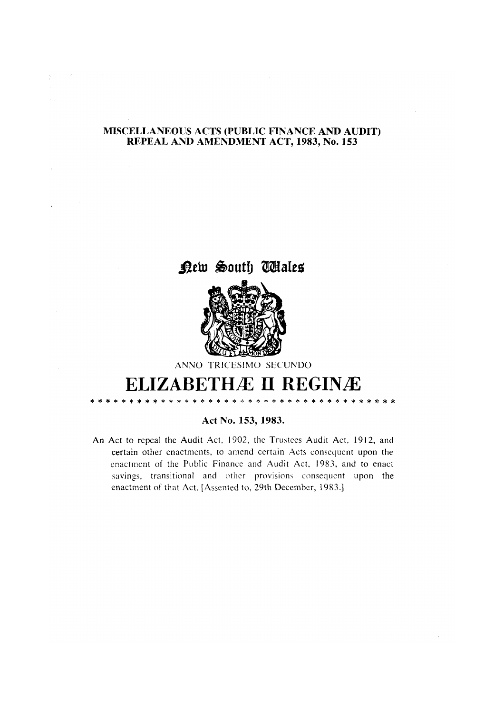# MISCELLANEOUS ACTS (PUBLIC FINANCE AND AUDIT) REPEAL AND AMENDMENT ACT, 1983, No. 153

 $\hat{\mathcal{L}}$ 





ANNO TRICESIMO SECUNDO

# **ELIZABETHÆ II REGINÆ** \* \* \* \* \* \* \* \* \* \* \* \* \* \* \* \* \* \* \*

.<br>\* \* \* \* \* \*

# Act No. 153, 1983.

An Act to repeal the Audit Act, 1902, the Trustees Audit Act, 1912, and certain other enactments, to amend certain Acts consequent upon the enactment of the Public Finance and Audit Act, 1983, and to enact savings, transitional and other provisions consequent upon the enactment of that Act. [Assented to, 29th December, 1983.]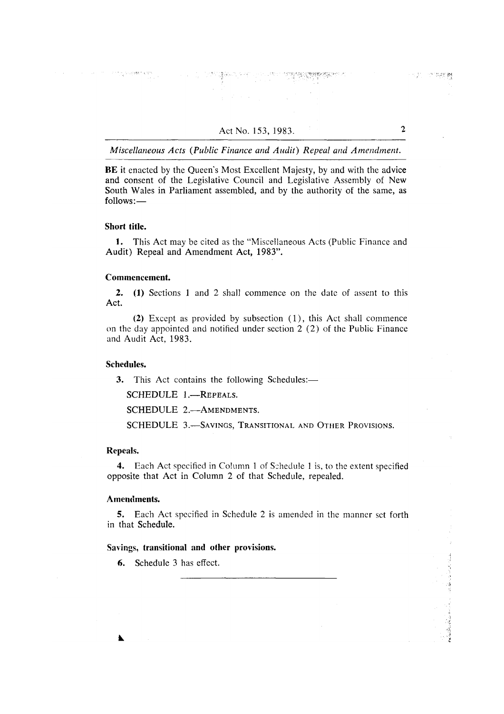BE it enacted by the Queen's Most Excellent Majesty, by and with the advice and consent of the Legislative Council and Legislative Assembly of New South Wales in Parliament assembled, and by the authority of the same, as  $follows:$ 

### Short title.

1. This Act may be cited as the "Miscellaneous Acts (Public Finance and Audit) Repeal and Amendment Act, 1983".

# Commencement.

 $2.$ (1) Sections 1 and 2 shall commence on the date of assent to this Act.

(2) Except as provided by subsection (1), this Act shall commence on the day appointed and notified under section 2 (2) of the Public Finance and Audit Act. 1983.

### Schedules.

3. This Act contains the following Schedules:-

SCHEDULE 1.-REPEALS.

SCHEDULE 2.-AMENDMENTS.

SCHEDULE 3.-SAVINGS, TRANSITIONAL AND OTHER PROVISIONS.

# Repeals.

 $\blacktriangle$ 

4. Each Act specified in Column 1 of Schedule 1 is, to the extent specified opposite that Act in Column 2 of that Schedule, repealed.

# Amendments.

5. Each Act specified in Schedule 2 is amended in the manner set forth in that Schedule.

# Savings, transitional and other provisions.

6. Schedule 3 has effect.

 $\mathbf{r}$ 

ารบุรี การทางเลขา**อยุ**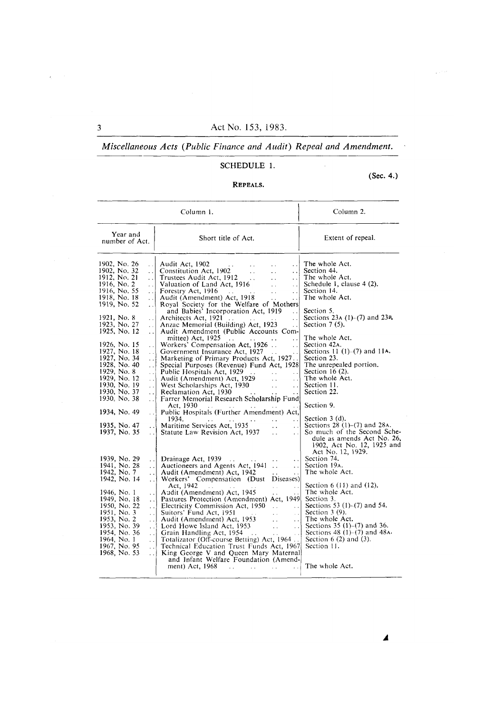# Miscellaneous Acts (Public Finance and Audit) Repeal and Amendment.

# SCHEDULE 1.

# (Sec. 4.)

# REPEALS.

| Column 1.                                                                                                                                                                                                                                                                                                                                                                                                                                                                                                                                                                                                                                                                                                                                                                                                                                                                                                                                                                                                                                                                                                                                                                                                                                                                                                                                                                                                                                                                                                                                                                                                                                                                                                                                                                                                                                                                                                                                                                                                                                                                                                                                                                                                                                                                                                                                                                                                                                                                                                                                                                                                                                                                                                                                                                                                                                                                                                                                                                                                                                                                                                                                                                                                                                                                                                                                                                                                                                                                                                                                     | Column 2.                                                                                                                                                                                                                                                                                                                                                                                                                                                                                                                                                                                                                                                                                                                                                                                                                                                                                         |
|-----------------------------------------------------------------------------------------------------------------------------------------------------------------------------------------------------------------------------------------------------------------------------------------------------------------------------------------------------------------------------------------------------------------------------------------------------------------------------------------------------------------------------------------------------------------------------------------------------------------------------------------------------------------------------------------------------------------------------------------------------------------------------------------------------------------------------------------------------------------------------------------------------------------------------------------------------------------------------------------------------------------------------------------------------------------------------------------------------------------------------------------------------------------------------------------------------------------------------------------------------------------------------------------------------------------------------------------------------------------------------------------------------------------------------------------------------------------------------------------------------------------------------------------------------------------------------------------------------------------------------------------------------------------------------------------------------------------------------------------------------------------------------------------------------------------------------------------------------------------------------------------------------------------------------------------------------------------------------------------------------------------------------------------------------------------------------------------------------------------------------------------------------------------------------------------------------------------------------------------------------------------------------------------------------------------------------------------------------------------------------------------------------------------------------------------------------------------------------------------------------------------------------------------------------------------------------------------------------------------------------------------------------------------------------------------------------------------------------------------------------------------------------------------------------------------------------------------------------------------------------------------------------------------------------------------------------------------------------------------------------------------------------------------------------------------------------------------------------------------------------------------------------------------------------------------------------------------------------------------------------------------------------------------------------------------------------------------------------------------------------------------------------------------------------------------------------------------------------------------------------------------------------------------------|---------------------------------------------------------------------------------------------------------------------------------------------------------------------------------------------------------------------------------------------------------------------------------------------------------------------------------------------------------------------------------------------------------------------------------------------------------------------------------------------------------------------------------------------------------------------------------------------------------------------------------------------------------------------------------------------------------------------------------------------------------------------------------------------------------------------------------------------------------------------------------------------------|
| Year and<br>Short title of Act.<br>number of Act.                                                                                                                                                                                                                                                                                                                                                                                                                                                                                                                                                                                                                                                                                                                                                                                                                                                                                                                                                                                                                                                                                                                                                                                                                                                                                                                                                                                                                                                                                                                                                                                                                                                                                                                                                                                                                                                                                                                                                                                                                                                                                                                                                                                                                                                                                                                                                                                                                                                                                                                                                                                                                                                                                                                                                                                                                                                                                                                                                                                                                                                                                                                                                                                                                                                                                                                                                                                                                                                                                             | Extent of repeal.                                                                                                                                                                                                                                                                                                                                                                                                                                                                                                                                                                                                                                                                                                                                                                                                                                                                                 |
| 1902, No. 26<br>Audit Act, 1902<br>Constitution Act, 1902<br>$\ddotsc$<br>1902, No. 32<br>$\sim 10^{-10}$<br>$\cdot \cdot$<br>Trustees Audit Act, 1912<br>1912, No. 21<br>$\sim$ .<br>$\ddotsc$<br>$\cdot \cdot$<br>1916, No. 2<br>Valuation of Land Act, 1916<br>$\sim 10^{-1}$<br>$\ddot{\phantom{a}}$<br>. . I<br>1916, No. 55<br>$\therefore$ Forestry Act, 1916<br>$\sim 10$<br>  Forestry Act, 1916<br>  Audit (Amendment) Act, 1918<br>$\ddotsc$<br>1918, No. 18<br>$\sim$ $\sim$<br>$\ddot{\phantom{a}}$<br>1919, No. 52<br>Royal Society for the Welfare of Mothers<br>and Babies' Incorporation Act, 1919<br>$\ddotsc$<br>1921, No. 8<br>$\ddots$<br>Architects Act, 1921<br>1923. No. 27<br>Anzac Memorial (Building) Act, 1923<br>$\ddot{\phantom{a}}$<br>$\ddotsc$<br>1925, No. 12<br>Audit Amendment (Public Accounts Com-<br>$\ddot{\phantom{a}}$<br>mittee) Act, 1925<br>$\ddot{\phantom{0}}$<br>Workers' Compensation Act, 1926<br>1926, No. 15<br>$\mathcal{L}_{\mathcal{A}}$<br>$\ddot{\phantom{1}}$ .<br>1927, No. 18<br>Government Insurance Act, 1927<br>. . !<br>$\sim 100$<br>$\bar{\mathbf{v}}$ .<br>1927, No. 34<br>Marketing of Primary Products Act, 1927<br>$\mathcal{L}$<br>1928, No. 40<br>Special Purposes (Revenue) Fund Act, 1928<br>1929, No. 8<br>$\cdot \cdot$<br>$\ddot{\phantom{0}}$<br>1929, No. 12<br>Audit (Amendment) Act, 1929<br>$\sim$ $\sim$<br>$\ddotsc$<br>$\cdot \cdot$<br>1930, No. 19<br>West Scholarships Act, 1930<br>Reclamation Act, 1930<br>$\sim$<br>$\ddot{\phantom{a}}$<br>$\ddot{\phantom{0}}$<br>1930, No. 37<br>$\therefore$ Reclamation Act, 1930 $\therefore$<br>$\ddotsc$<br>$\sim$ $\sim$<br>Farrer Memorial Research Scholarship Fund<br>1930, No. 38<br>Act. 1930<br>1934, No. 49<br>Public Hospitals (Further Amendment) Act,<br>$\cdot$ . $\vdots$<br>1934.<br>$\sim 10^{-11}$<br>$\ddot{\phantom{0}}$<br>$\sim 10^{-1}$<br>Maritime Services Act, 1935<br>1935, No. 47<br>$\cdot \cdot$<br>$\ddotsc$<br>$\ddot{\phantom{0}}$<br>Statute Law Revision Act, 1937<br>1937, No. 35<br>$\ddotsc$<br>$\cdot \cdot$<br>$\ddot{\phantom{a}}$<br>1939, No. 29<br>Drainage Act, 1939<br>$\cdot$ . $\vdash$<br>$\ddotsc$<br>$\sim$ $\sim$<br>$\ddotsc$<br>1941, No. 28<br>Auctioneers and Agents Act, 1941.<br>$\sim$ $\sim$<br>$\ddotsc$<br>1942, No. 7<br>Audit (Amendment) Act, 1942<br>$\sim 10^7$<br>$\cdot \cdot$<br>i.<br>1942. No. 14<br>Workers' Compensation (Dust Diseases)<br>$\ddot{\phantom{a}}$ .<br>Act, 1942<br>$\sim$ 100 $\sim$<br>$\mathcal{L}(\mathcal{L}^{\text{out}})$<br>$\epsilon$ .<br>1946, No. 1<br>Audit (Amendment) Act, 1945<br>1949, No. 18<br>Pastures Protection (Amendment) Act, 1949<br>$\cdot \cdot$<br>1950, No. 22<br>Electricity Commission Act, 1950<br>$\sim$ $\sim$<br>$\cdot \cdot$<br>1951, No. 3<br>Suitors' Fund Act, 1951<br>$\mathbf{L}$<br>$\ddot{\phantom{a}}$<br>$\cdot$ .<br>Audit (Amendment) Act, 1953<br>1953, No. 2<br>$\mathcal{L}^{\text{max}}$<br>.<br>$\ddot{\phantom{a}}$<br>1953, No. 39<br>Lord Howe Island Act, 1953<br>$\cdot$ . $\cdot$<br>$\sim 10^{-1}$<br>$\ddot{\phantom{a}}$<br>1954, No. 36<br>Grain Handling Act, 1954<br>$\cdots$<br>$\sim 10^{-1}$<br>Totalizator (Off-course Betting) Act, 1964<br>1964, No. 1<br>$\ddot{\phantom{0}}$<br>1967, No. 95<br>Technical Education Trust Funds Act, 1967<br>$\cdot$ . $\cdot$<br>1968, No. 53<br>King George V and Queen Mary Maternal<br>$\cdot$ .<br>and Infant Welfare Foundation (Amend-<br>ment) Act, 1968<br>$\mathcal{L}(\mathbf{r})$<br>i.<br>i. | The whole Act.<br>Section 44.<br>The whole Act.<br>Schedule 1, clause 4 (2).<br>Section 14.<br>The whole Act.<br>Section 5.<br>Sections 23A $(1)$ – $(7)$ and 23B.<br>Section $7(5)$ .<br>The whole Act.<br>Section 42A.<br>Sections 11 $(1)-(7)$ and 114.<br>Section 23.<br>The unrepealed portion.<br>Section $16(2)$ .<br>The whole Act.<br>Section 11.<br>Section 22.<br>Section 9.<br>Section $3(d)$ .<br>Sections $28(1)–(7)$ and $28A$ .<br>So much of the Second Sche-<br>dule as amends Act No. 26,<br>1902, Act No. 12, 1925 and<br>Act No. 12, 1929.<br>Section 74.<br>Section 19A.<br>The whole Act.<br>Section $6(11)$ and $(12)$ .<br>The whole Act.<br>Section 3.<br>Sections 53 $(1)$ – $(7)$ and 54.<br>Section $3(9)$ .<br>The whole Act.<br>Sections $35(1)–(7)$ and $36$ .<br>Sections $48(1)-(7)$ and $48A$ .<br>Section $6(2)$ and $(3)$ .<br>Section 11.<br>The whole Act. |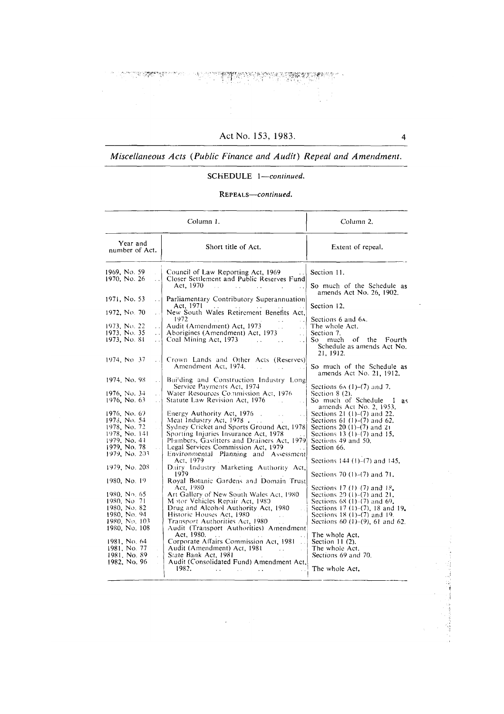S. Paper of the

en de la provincia de la companya de la companya de la companya de la companya de la companya de la companya d<br>La companya de la companya de la companya de la companya de la companya de la companya de la companya de la co

 $\overline{\mathbf{4}}$ 

South and Probability

# Miscellaneous Acts (Public Finance and Audit) Repeal and Amendment.

# SCHEDULE 1-continued.

# REPEALS-continued.

|                                                                                                                                                                                                                                                                                                                                                                                                                                                                                                                                                                                                                                           | Column 1.                                                                                                                                                                                                                                                                                                                                                                                                                                                                                                                                                                                                                                                                                                                                                                                                                                                                                                                                                                                                                                                                                                                                                                                                                                                                                                                                                                                             | Column 2.                                                                                                                                                                                                                                                                                                                                                                                                                                                                                                                                                                                                                                                                                                                                                                                                                                                                                                                                               |
|-------------------------------------------------------------------------------------------------------------------------------------------------------------------------------------------------------------------------------------------------------------------------------------------------------------------------------------------------------------------------------------------------------------------------------------------------------------------------------------------------------------------------------------------------------------------------------------------------------------------------------------------|-------------------------------------------------------------------------------------------------------------------------------------------------------------------------------------------------------------------------------------------------------------------------------------------------------------------------------------------------------------------------------------------------------------------------------------------------------------------------------------------------------------------------------------------------------------------------------------------------------------------------------------------------------------------------------------------------------------------------------------------------------------------------------------------------------------------------------------------------------------------------------------------------------------------------------------------------------------------------------------------------------------------------------------------------------------------------------------------------------------------------------------------------------------------------------------------------------------------------------------------------------------------------------------------------------------------------------------------------------------------------------------------------------|---------------------------------------------------------------------------------------------------------------------------------------------------------------------------------------------------------------------------------------------------------------------------------------------------------------------------------------------------------------------------------------------------------------------------------------------------------------------------------------------------------------------------------------------------------------------------------------------------------------------------------------------------------------------------------------------------------------------------------------------------------------------------------------------------------------------------------------------------------------------------------------------------------------------------------------------------------|
| Year and<br>number of Act.                                                                                                                                                                                                                                                                                                                                                                                                                                                                                                                                                                                                                | Short title of Act.                                                                                                                                                                                                                                                                                                                                                                                                                                                                                                                                                                                                                                                                                                                                                                                                                                                                                                                                                                                                                                                                                                                                                                                                                                                                                                                                                                                   | Extent of repeal.                                                                                                                                                                                                                                                                                                                                                                                                                                                                                                                                                                                                                                                                                                                                                                                                                                                                                                                                       |
| 1969, No. 59<br>1970, No. 26<br>$\ddot{\phantom{a}}$<br>1971, No. 53<br>1972, No. 70<br>i.<br>1973, No. 22<br>$\cdot$ $\cdot$<br>1973. No. 35<br>$\ddotsc$<br>1973, No. 81<br>$\ddot{\phantom{0}}$<br>1974, No. 37<br>الناد<br>1974, No. 98<br>$\sim$ $\sim$<br>1976, No. 34<br>$\bar{\mathcal{E}}$ .<br>1976, No. 63<br>$\sim 10^7$<br>1976, No. 69<br>1973. No. 54<br>1978, No. 72<br>1978, No. 141<br>1979. No. 41<br>1979. No. 78<br>1979, No. 203<br>1979, No. 208<br>1980, No. 19<br>1980, No. 65<br>1980, No. 71<br>1980, No. 82<br>1980, No. 94<br>1980, No. 103<br>1980, No. 108<br>1981, No. 64<br>1981, No. 77<br>1981, No. 89 | Council of Law Reporting Act, 1969<br>Closer Settlement and Public Reserves Fund<br>Act. 1970<br>$\mathbb{R}^2$<br>$\sim 10^{-1}$<br>$\sim$ 100 $\sim$<br>Parliamentary Contributory Superannuation<br>Act, 1971<br>New South Wales Retirement Benefits Act,<br>1972<br>Audit (Amendment) Act, 1973<br>Aborigines (Amendment) Act, 1973<br>s.<br>Coal Mining Act, 1973<br><b>College</b><br>Crown Lands and Other Acts (Reserves)<br>Amendment Act, 1974.<br>Building and Construction Industry Long<br>Service Payments Act, 1974<br>Water Resources Commission Act, 1976<br>Statute Law Revision Act, 1976<br>Energy Authority Act, 1976.<br>Meat Industry Act, 1978<br>Sydney Cricket and Sports Ground Act, 1978<br>Sporting Injuries Insurance Act, 1978<br>Plumbers, Gastitters and Drainers Act, 1979<br>Legal Services Commission Act, 1979<br>Environmental Planning and Assessment<br>Act. 1979<br>Dairy Industry Marketing Authority Act,<br>1979<br>Royal Botanic Gardens and Domain Trust<br>Act, 1980.<br>Art Gallery of New South Wales Act, 1980<br>Motor Vehicles Repair Act, 1980<br>Drug and Alcohol Authority Act, 1980<br>Historic Houses Act, 1980<br>$\sim 100$<br>Transport Authorities Act, 1980<br>Audit (Transport Authorities) Amendment<br>Act, 1980.<br>Corporate Affairs Commission Act, 1981<br>Audit (Amendment) Act, 1981<br>$\mathbb{R}^2$<br>State Bank Act, 1981 | Section 11.<br>So much of the Schedule as<br>amends Act No. 26, 1902.<br>Section 12.<br>Sections 6 and 6A.<br>The whole Act.<br>Section 7.<br>So much<br>of the Fourth<br>Schedule as amends Act No.<br>21, 1912.<br>So much of the Schedule as<br>amends Act No. 21, 1912.<br>Sections $6A(1)-(7)$ and 7.<br>Section $8(2)$ .<br>So much of Schedule<br>I as<br>amends Act No. 2, 1953.<br>Sections 21 (1)–(7) and 22.<br>Sections 61 $(1)-(7)$ and 62.<br>Sections 20 $(1)$ – $(7)$ and 21<br>Sections 13 $(1)$ – $(7)$ and 15.<br>Sections 49 and 50.<br>Section 66.<br>Sections $144 (1) - (7)$ and $145$ ,<br>Sections 70 (1)–(7) and 71.<br>Sections 17 (1) $(7)$ and 18.<br>Sections 29 $(1)$ - $(7)$ and 21.<br>Sections $68(1)–(7)$ and $69$ .<br>Sections 17 (1)–(7), 18 and 19.<br>Sections $18(1)–(7)$ and $19$ .<br>Sections 60 $(1)$ – $(9)$ , 61 and 62.<br>The whole Act.<br>Section $11(2)$ .<br>The whole Act.<br>Sections 69 and 70. |
| 1982, No. 96                                                                                                                                                                                                                                                                                                                                                                                                                                                                                                                                                                                                                              | Audit (Consolidated Fund) Amendment Act.<br>1982.                                                                                                                                                                                                                                                                                                                                                                                                                                                                                                                                                                                                                                                                                                                                                                                                                                                                                                                                                                                                                                                                                                                                                                                                                                                                                                                                                     | The whole Act.                                                                                                                                                                                                                                                                                                                                                                                                                                                                                                                                                                                                                                                                                                                                                                                                                                                                                                                                          |

 $\mathcal{L}^{\text{max}}$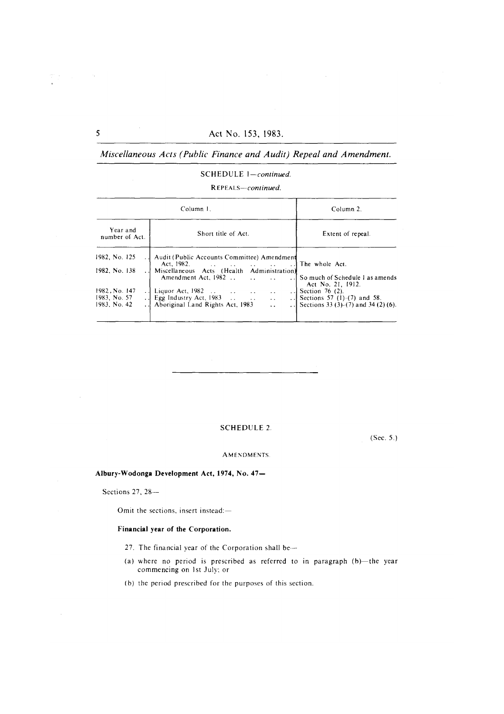#### SCHEDULE 1-continued.

REPEALS-continued.

|                                               | Column 1.                                                                                                                                                                                                                    | Column 2.                                                                             |
|-----------------------------------------------|------------------------------------------------------------------------------------------------------------------------------------------------------------------------------------------------------------------------------|---------------------------------------------------------------------------------------|
| Year and<br>number of Act.                    | Short title of Act.                                                                                                                                                                                                          | Extent of repeal.                                                                     |
| 1982, No. 125                                 | Audit (Public Accounts Committee) Amendment                                                                                                                                                                                  | ] The whole Act.                                                                      |
| 1982. No. 138                                 | Miscellaneous Acts (Health Administration)<br>Amendment Act, 1982<br>$\sim$ $\sim$                                                                                                                                           | So much of Schedule 1 as amends<br>Act No. 21, 1912.                                  |
| 1982, No. 147<br>1983, No. 57<br>1983. No. 42 | . J. Liquor Act, 1982<br>$\sim 10^{-1}$<br>$\sim$ $\sim$<br>$\cdot$ $\cdot$ $\cdot$<br>Egg Industry Act, $1983$<br>$\mathbf{u} \cdot \mathbf{u} = \mathbf{u} \cdot \mathbf{u}$<br>Aboriginal Land Rights Act, 1983<br>$\sim$ | Section 76 (2).<br>Sections 57 (1)–(7) and 58.<br>Sections 33 (3)-(7) and 34 (2) (6). |

# **SCHEDULE 2.**

 $(Sec. 5.)$ 

#### AMENDMENTS.

# Albury-Wodonga Development Act, 1974, No. 47-

Sections  $27, 28$ -

Omit the sections, insert instead:-

#### Financial year of the Corporation.

- 27. The financial year of the Corporation shall be-
- (a) where no period is prescribed as referred to in paragraph (b)-the year commencing on 1st July; or
- (b) the period prescribed for the purposes of this section.

 $\overline{S}$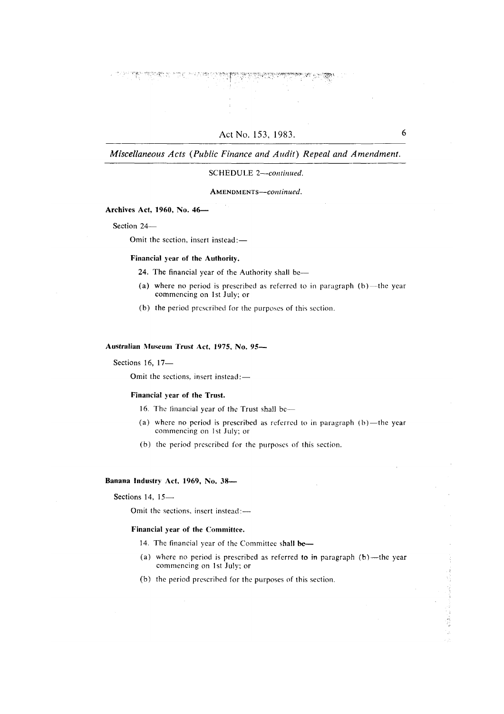# SCHEDULE 2-continued.

AMENDMENTS-continued.

# Archives Act, 1960, No. 46-

Section 24-

Omit the section, insert instead:-

#### Financial year of the Authority.

24. The financial year of the Authority shall be-

- (a) where no period is prescribed as referred to in paragraph  $(b)$ —the year commencing on 1st July; or
- (b) the period prescribed for the purposes of this section.

# Australian Museum Trust Act, 1975, No. 95-

Sections 16, 17-

Omit the sections, insert instead:-

#### Financial year of the Trust.

- 16. The financial year of the Trust shall be-
- (a) where no period is prescribed as referred to in paragraph  $(b)$ —the year commencing on 1st July; or
- (b) the period prescribed for the purposes of this section.

#### Banana Industry Act, 1969, No. 38-

Sections 14, 15-

Omit the sections, insert instead:-

# Financial year of the Committee.

- 14. The financial year of the Committee shall be-
- (a) where no period is prescribed as referred to in paragraph  $(b)$ —the year commencing on 1st July; or
- (b) the period prescribed for the purposes of this section.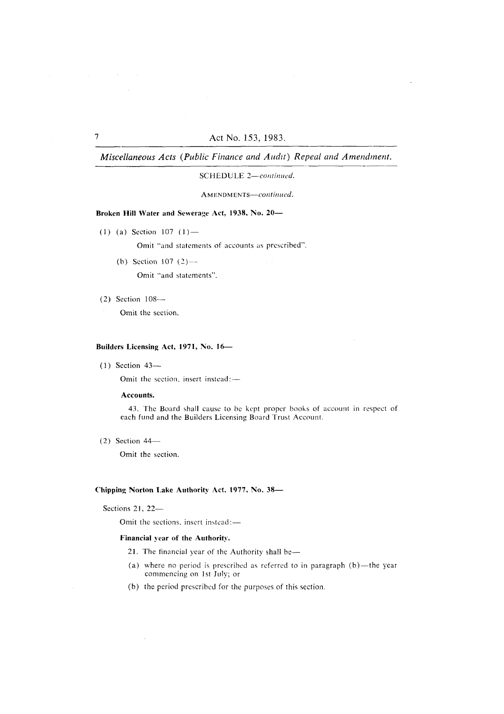SCHEDULE 2-continued.

AMENDMENTS-continued.

# Broken Hill Water and Sewerage Act, 1938, No. 20-

(1) (a) Section 107 (1) —

Omit "and statements of accounts as prescribed".

(b) Section 107  $(2)$  —

Omit "and statements".

 $(2)$  Section  $108-$ 

Omit the section.

# Builders Licensing Act, 1971, No. 16-

 $(1)$  Section 43-

Omit the section, insert instead:-

# Accounts.

43. The Board shall cause to be kept proper books of account in respect of each fund and the Builders Licensing Board Trust Account.

 $(2)$  Section 44–

Omit the section.

# Chipping Norton Lake Authority Act, 1977, No. 38-

Sections 21, 22-

 $\mathcal{L}$ 

Omit the sections, insert instead:-

#### Financial year of the Authority.

- 21. The financial year of the Authority shall be-
- (a) where no period is prescribed as referred to in paragraph (b)-the year commencing on 1st July; or
- (b) the period prescribed for the purposes of this section.

 $\sim 10^{11}$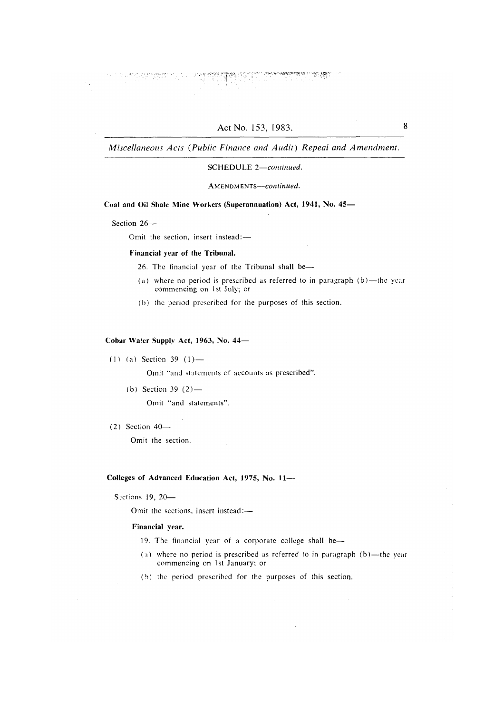物质

Miscellaneous Acts (Public Finance and Audit) Repeal and Amendment.

### SCHEDULE 2-continued.

AMENDMENTS-continued.

#### Coal and Oil Shale Mine Workers (Superannuation) Act, 1941, No. 45-

Section 26-

Omit the section, insert instead:-

#### Financial year of the Tribunal.

- 26. The financial year of the Tribunal shall be-
- (a) where no period is prescribed as referred to in paragraph  $(b)$ —the year commencing on 1st July; or
- (b) the period prescribed for the purposes of this section.

#### Cobar Water Supply Act, 1963, No. 44-

 $(1)$  (a) Section 39  $(1)$  —

Omit "and statements of accounts as prescribed".

- (b) Section 39  $(2)$  Omit "and statements".
- $(2)$  Section 40-

Omit the section.

# Colleges of Advanced Education Act, 1975, No. 11-

Sections 19, 20-

Omit the sections, insert instead:-

# Financial year.

- 19. The financial year of a corporate college shall be-
- (a) where no period is prescribed as referred to in paragraph  $(b)$ —the year commencing on 1st January; or
- (b) the period prescribed for the purposes of this section.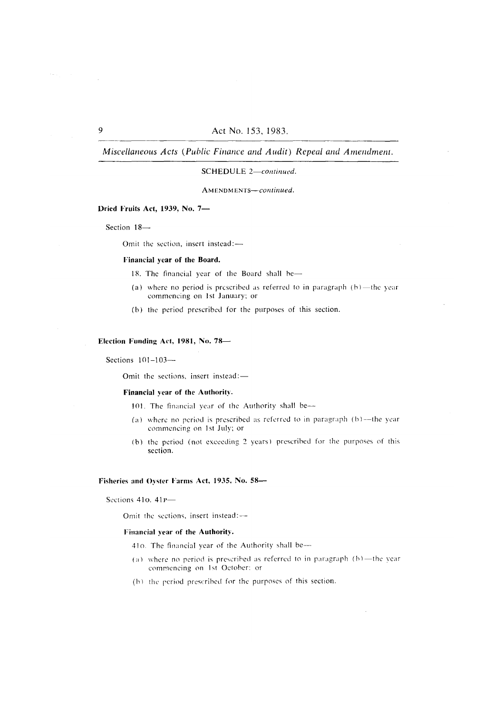# SCHEDULE 2-continued.

AMENDMENTS-continued.

# Dried Fruits Act, 1939, No. 7-

Section 18-

Omit the section, insert instead:-

#### Financial year of the Board.

- 18. The financial year of the Board shall be-
- (a) where no period is prescribed as referred to in paragraph  $(b)$ —the year commencing on 1st January; or
- (b) the period prescribed for the purposes of this section.

### Election Funding Act, 1981, No. 78-

Sections  $101-103$ --

Omit the sections, insert instead:-

#### Financial year of the Authority.

- 101. The financial year of the Authority shall be-
- (a) where no period is prescribed as referred to in paragraph (b)-the year commencing on 1st July; or
- (b) the period (not exceeding 2 years) prescribed for the purposes of this section.

#### Fisheries and Ovster Farms Act, 1935, No. 58-

Sections 41o. 41p-

Omit the sections, insert instead:-

#### Financial year of the Authority.

- 410. The financial year of the Authority shall be-
- (a) where no period is prescribed as referred to in paragraph  $(b)$ —the year commencing on 1st October: or
- (b) the period prescribed for the purposes of this section.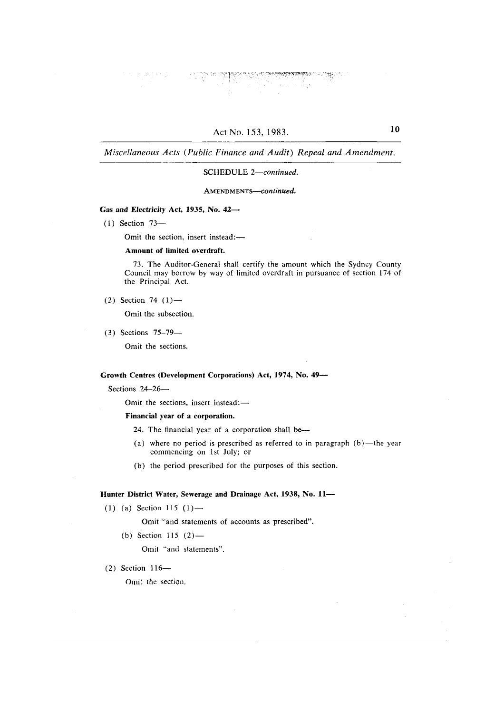# SCHEDULE 2-continued.

# AMENDMENTS-continued.

### Gas and Electricity Act, 1935, No. 42-

 $(1)$  Section 73-

Omit the section, insert instead:-

### Amount of limited overdraft.

73. The Auditor-General shall certify the amount which the Sydney County Council may borrow by way of limited overdraft in pursuance of section 174 of the Principal Act.

(2) Section 74  $(1)$ —

Omit the subsection.

 $(3)$  Sections  $75-79$ —

Omit the sections.

Growth Centres (Development Corporations) Act, 1974, No. 49-

Sections 24-26-

Omit the sections, insert instead:-

#### Financial year of a corporation.

- 24. The financial year of a corporation shall be-
- (a) where no period is prescribed as referred to in paragraph  $(b)$ —the year commencing on 1st July; or
- (b) the period prescribed for the purposes of this section.

# Hunter District Water, Sewerage and Drainage Act, 1938, No. 11-

(1) (a) Section 115 (1)-

Omit "and statements of accounts as prescribed".

(b) Section 115  $(2)$ —

Omit "and statements".

 $(2)$  Section 116-

Omit the section.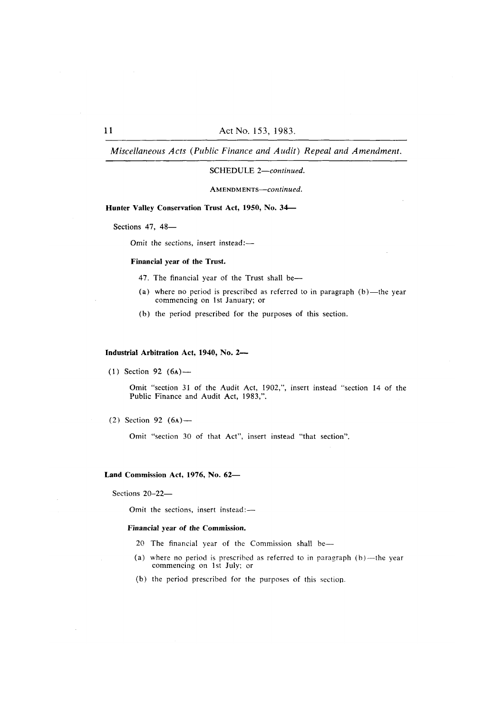# SCHEDULE 2-continued.

AMENDMENTS-continued.

# Hunter Valley Conservation Trust Act, 1950, No. 34-

Sections 47, 48-

Omit the sections, insert instead:-

#### Financial year of the Trust.

- 47. The financial year of the Trust shall be-
- (a) where no period is prescribed as referred to in paragraph (b)-the year commencing on 1st January; or
- (b) the period prescribed for the purposes of this section.

#### Industrial Arbitration Act, 1940, No. 2-

 $(1)$  Section 92  $(6A)$  —

Omit "section 31 of the Audit Act, 1902,", insert instead "section 14 of the Public Finance and Audit Act, 1983,".

(2) Section 92  $(6a)$  —

Omit "section 30 of that Act", insert instead "that section".

# Land Commission Act, 1976, No. 62-

Sections  $20-22$ -

Omit the sections, insert instead:-

#### Financial year of the Commission.

- 20 The financial year of the Commission shall be-
- (a) where no period is prescribed as referred to in paragraph  $(b)$ —the year commencing on 1st July; or
- (b) the period prescribed for the purposes of this section.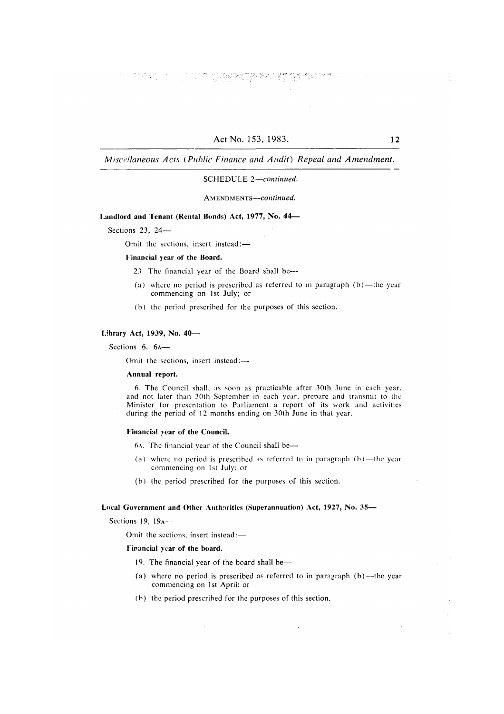The Second Second Control of the Second Second Second Second Second Second Second Second Second Second Second <br>Second Second Second Second Second Second Second Second Second Second Second Second Second Second Second Second

Miscellaneous Acts (Public Finance and Audit) Repeal and Amendment.

### SCHEDULE 2-continued.

AMENDMENTS-continued.

#### Landlord and Tenant (Rental Bonds) Act, 1977, No. 44-

Sections 23, 24 $-$ 

Omit the sections, insert instead:-

### Financial year of the Board.

- 23. The financial year of the Board shall be---
- (a) where no period is prescribed as referred to in paragraph  $(b)$ —the year commencing on 1st July; or
- (b) the period prescribed for the purposes of this section.

# Library Act, 1939, No. 40-

Sections 6, 6A-

Omit the sections, insert instead:-

#### Annual report.

6. The Council shall, as soon as practicable after 30th June in each year, and not later than 30th September in each year, prepare and transmit to the Minister for presentation to Parliament a report of its work and activities during the period of 12 months ending on 30th June in that year.

#### Financial year of the Council.

- 6A. The financial year of the Council shall be-
- (a) where no period is prescribed as referred to in paragraph  $(b)$ —the year commencing on 1st July; or
- (b) the period prescribed for the purposes of this section.

# Local Government and Other Authorities (Superannuation) Act, 1927, No. 35-

Sections 19,  $19_A$ —

Omit the sections, insert instead:-

#### Firancial year of the board.

- 19. The financial year of the board shall be-
- (a) where no period is prescribed as referred to in paragraph  $(b)$ —the year commencing on 1st April; or

 $\bar{\mathcal{A}}$ 

(b) the period prescribed for the purposes of this section.

 $12$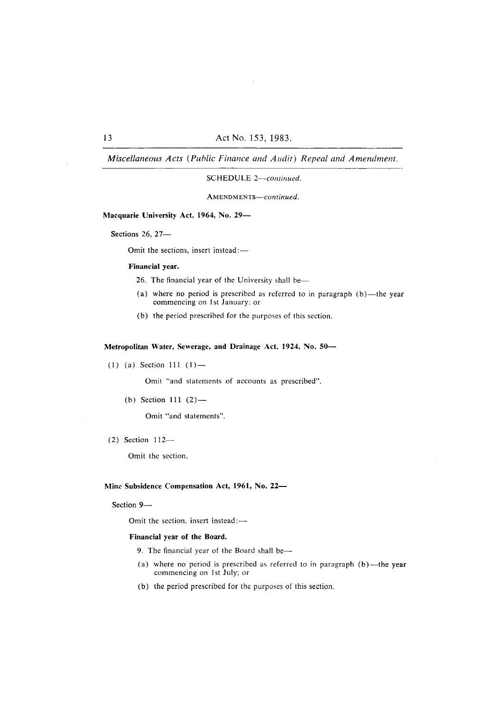### SCHEDULE 2-continued.

AMENDMENTS-continued.

# Macquarie University Act, 1964, No. 29-

Sections 26, 27-

Omit the sections, insert instead:-

#### Financial year.

- 26. The financial year of the University shall be-
- (a) where no period is prescribed as referred to in paragraph  $(b)$ —the year commencing on 1st January; or
- (b) the period prescribed for the purposes of this section.

# Metropolitan Water, Sewerage, and Drainage Act, 1924, No. 50-

 $(1)$  (a) Section 111  $(1)$  —

Omit "and statements of accounts as prescribed".

(b) Section 111  $(2)$  —

Omit "and statements".

 $(2)$  Section 112-

Omit the section.

# Mine Subsidence Compensation Act, 1961, No. 22-

Section 9-

Omit the section, insert instead:-

# Financial year of the Board.

- 9. The financial year of the Board shall be-
- (a) where no period is prescribed as referred to in paragraph (b)-the year commencing on 1st July; or
- (b) the period prescribed for the purposes of this section.

# $13$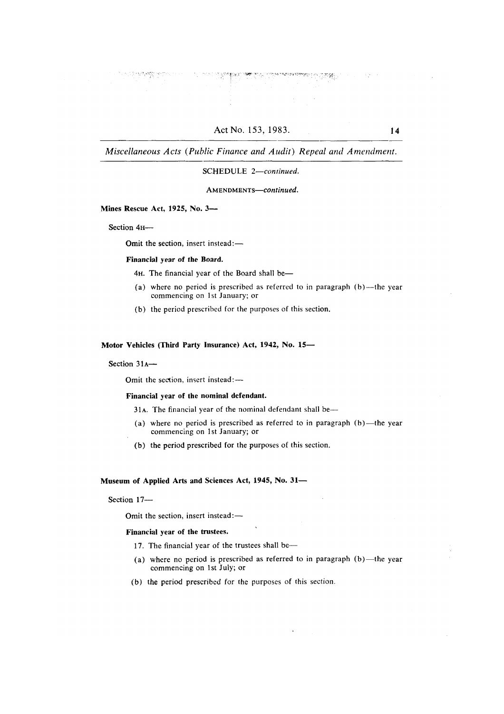"18번 10 플랫폼,

Miscellaneous Acts (Public Finance and Audit) Repeal and Amendment.

# SCHEDULE 2-continued.

AMENDMENTS-continued.

# Mines Rescue Act, 1925, No. 3-

Section 4H-

Omit the section, insert instead:-

#### Financial year of the Board.

4H. The financial year of the Board shall be-

- (a) where no period is prescribed as referred to in paragraph  $(b)$ —the year commencing on 1st January; or
- (b) the period prescribed for the purposes of this section.

### Motor Vehicles (Third Party Insurance) Act, 1942, No. 15-

#### Section 31A-

Omit the section, insert instead:-

### Financial vear of the nominal defendant.

31A. The financial year of the nominal defendant shall be-

- (a) where no period is prescribed as referred to in paragraph  $(b)$ —the year commencing on 1st January; or
- (b) the period prescribed for the purposes of this section.

#### Museum of Applied Arts and Sciences Act, 1945, No. 31-

Section 17-

Omit the section, insert instead:-

#### Financial year of the trustees.

- 17. The financial year of the trustees shall be-
- (a) where no period is prescribed as referred to in paragraph  $(b)$ —the year commencing on 1st July; or
- (b) the period prescribed for the purposes of this section.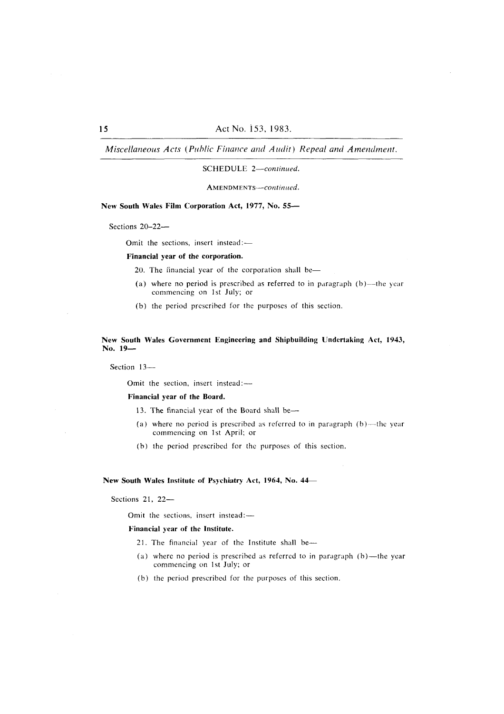#### SCHEDULE 2-continued.

AMENDMENTS-continued.

### New South Wales Film Corporation Act, 1977, No. 55-

Sections 20-22-

Omit the sections, insert instead:-

#### Financial year of the corporation.

20. The financial year of the corporation shall be-

- (a) where no period is prescribed as referred to in paragraph  $(b)$ —the year commencing on 1st July; or
- (b) the period prescribed for the purposes of this section.

# New South Wales Government Engineering and Shipbuilding Undertaking Act, 1943, No. 19-

Section 13-

Omit the section, insert instead:-

#### Financial year of the Board.

- 13. The financial year of the Board shall be-
- (a) where no period is prescribed as referred to in paragraph  $(b)$ —the year commencing on 1st April; or
- (b) the period prescribed for the purposes of this section.

#### New South Wales Institute of Psychiatry Act, 1964, No. 44–

Sections 21, 22-

Omit the sections, insert instead:-

### Financial year of the Institute.

- 21. The financial year of the Institute shall be-
- (a) where no period is prescribed as referred to in paragraph (b)-the year commencing on 1st July; or
- (b) the period prescribed for the purposes of this section.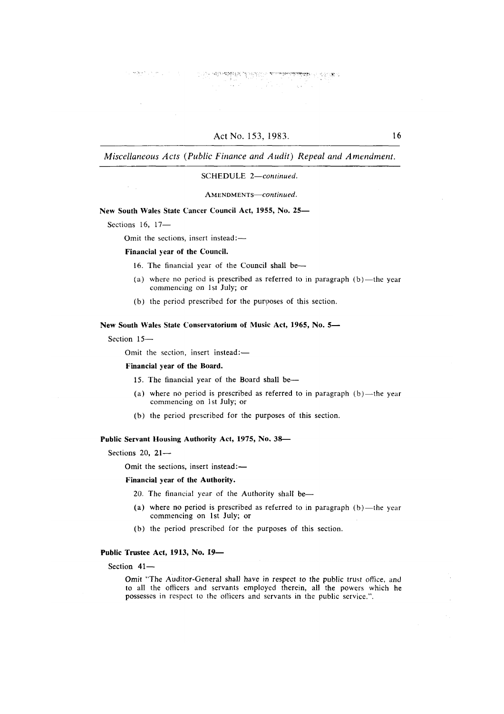**SUPERINTENTS** 

Miscellaneous Acts (Public Finance and Audit) Repeal and Amendment.

#### SCHEDULE 2-continued.

AMENDMENTS-continued.

New South Wales State Cancer Council Act, 1955, No. 25-

Sections 16, 17-

 $\lambda_{\rm max}$ 

 $\log \max_{\mathbf{y} \in \mathcal{X}} \left\{ \left\| \mathbf{y} - \mathbf{y} \right\|_{\mathcal{X}} \right\} \leq \left\| \mathbf{y} - \mathbf{y} \right\|_{\mathcal{X}}$ 

Omit the sections, insert instead:-

Financial year of the Council.

16. The financial year of the Council shall be-

- (a) where no period is prescribed as referred to in paragraph  $(b)$ —the year commencing on 1st July; or
- (b) the period prescribed for the purposes of this section.

New South Wales State Conservatorium of Music Act, 1965, No. 5-

Section 15-

Omit the section, insert instead:-

Financial year of the Board.

- 15. The financial year of the Board shall be-
- (a) where no period is prescribed as referred to in paragraph  $(b)$ —the year commencing on 1st July; or
- (b) the period prescribed for the purposes of this section.

Public Servant Housing Authority Act, 1975, No. 38-

Sections  $20.21$ -

Omit the sections, insert instead:-

#### Financial year of the Authority.

20. The financial year of the Authority shall be-

- (a) where no period is prescribed as referred to in paragraph  $(b)$ —the year commencing on 1st July; or
- (b) the period prescribed for the purposes of this section.

# Public Trustee Act, 1913, No. 19-

Section 41-

Omit "The Auditor-General shall have in respect to the public trust office, and to all the officers and servants employed therein, all the powers which he possesses in respect to the officers and servants in the public service.".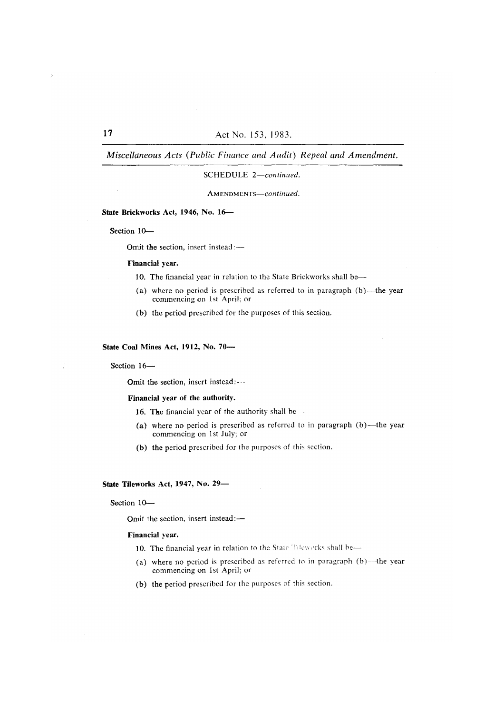#### SCHEDULE 2-continued.

AMENDMENTS-continued.

#### State Brickworks Act, 1946, No. 16-

Section 10-

Omit the section, insert instead:-

### Financial year.

- 10. The financial year in relation to the State Brickworks shall be-
- (a) where no period is prescribed as referred to in paragraph (b)-the year commencing on 1st April; or
- (b) the period prescribed for the purposes of this section.

# State Coal Mines Act, 1912, No. 70-

Section 16-

Omit the section, insert instead:-

#### Financial year of the authority.

- 16. The financial year of the authority shall be-
- (a) where no period is prescribed as referred to in paragraph (b)-the year commencing on 1st July; or
- (b) the period prescribed for the purposes of this section.

State Tileworks Act, 1947, No. 29-

Section  $10-$ 

Omit the section, insert instead:-

#### Financial year.

- 10. The financial year in relation to the State Tileworks shall be-
- (a) where no period is prescribed as referred to in paragraph (b)--the year commencing on 1st April; or
- (b) the period prescribed for the purposes of this section.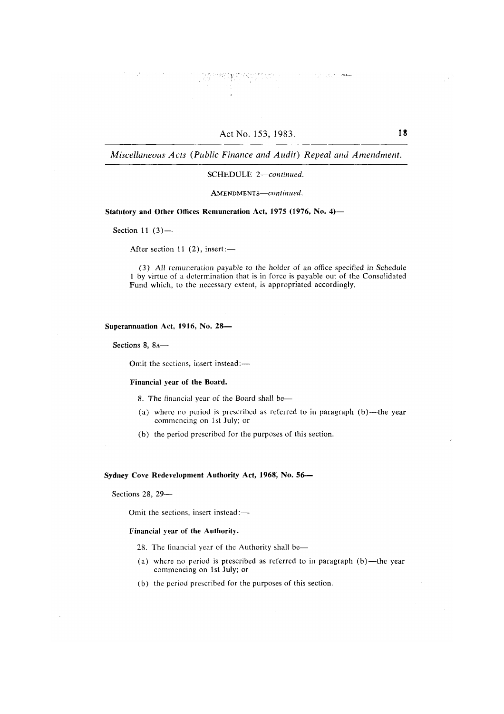#### SCHEDULE 2-continued.

#### AMENDMENTS-continued.

Statutory and Other Offices Remuneration Act, 1975 (1976, No. 4)-

Section 11 $(3)$ -

After section 11 (2), insert:-

(3) All remuneration payable to the holder of an office specified in Schedule 1 by virtue of a determination that is in force is payable out of the Consolidated Fund which, to the necessary extent, is appropriated accordingly.

#### Superannuation Act, 1916, No. 28-

Sections 8, 8A-

Omit the sections, insert instead:-

#### Financial year of the Board.

8. The financial year of the Board shall be-

- (a) where no period is prescribed as referred to in paragraph  $(b)$ —the year commencing on 1st July; or
- (b) the period prescribed for the purposes of this section.

Sydney Cove Redevelopment Authority Act, 1968, No. 56-

Sections 28, 29-

Omit the sections, insert instead:-

#### Financial year of the Authority.

- 28. The financial year of the Authority shall be—
- (a) where no period is prescribed as referred to in paragraph (b)-the year commencing on 1st July; or
- (b) the period prescribed for the purposes of this section.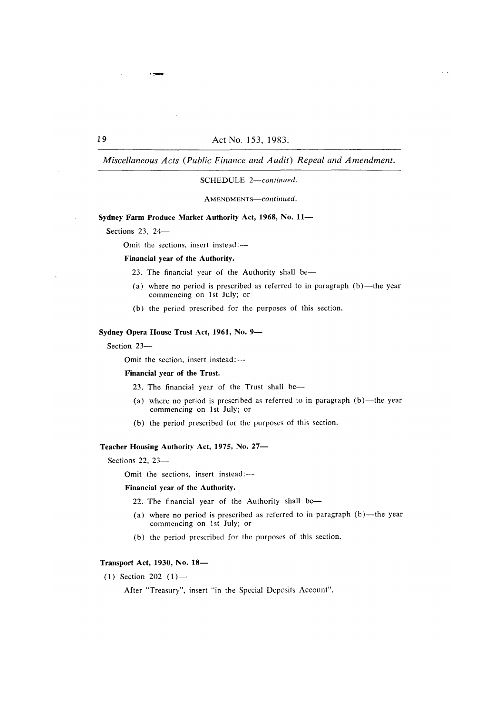Miscellaneous Acts (Public Finance and Audit) Repeal and Amendment.

SCHEDULE 2-continued.

AMENDMENTS-continued.

# Sydney Farm Produce Market Authority Act, 1968, No. 11-

Sections  $23.24-$ 

Omit the sections, insert instead:-

### Financial year of the Authority.

- 23. The financial year of the Authority shall be-
- (a) where no period is prescribed as referred to in paragraph  $(b)$ —the year commencing on 1st July; or
- (b) the period prescribed for the purposes of this section.

# Sydney Opera House Trust Act, 1961, No. 9-

Section 23-

Omit the section, insert instead:-

#### Financial year of the Trust.

23. The financial year of the Trust shall be-

- (a) where no period is prescribed as referred to in paragraph  $(b)$ —the year commencing on 1st July; or
- (b) the period prescribed for the purposes of this section.

# Teacher Housing Authority Act, 1975, No. 27-

Sections 22,  $23-$ 

Omit the sections, insert instead:---

#### Financial year of the Authority.

- 22. The financial year of the Authority shall be-
- (a) where no period is prescribed as referred to in paragraph  $(b)$ —the year commencing on 1st July; or
- (b) the period prescribed for the purposes of this section.

# **Transport Act, 1930, No. 18-**

(1) Section 202  $(1)$  —

After "Treasury", insert "in the Special Deposits Account".

19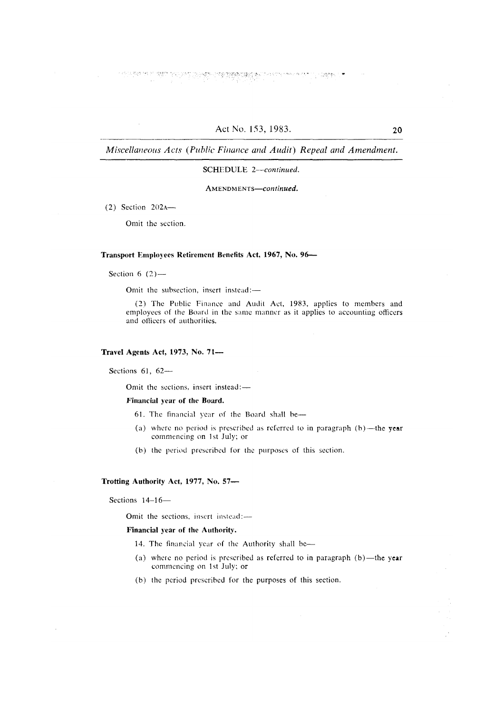주인 전면에 고감할 때

 $\frac{1}{2}$  ,  $\frac{1}{2}$  and the  $\frac{1}{2}$ 

Miscellaneous Acts (Public Finance and Audit) Repeal and Amendment.

### SCHEDULE 2-continued.

AMENDMENTS-continued.

 $(2)$  Section  $202$ A-

Omit the section.

#### Transport Employees Retirement Benefits Act, 1967, No. 96-

Section 6  $(2)$  —

Omit the subsection, insert instead:-

(2) The Public Finance and Audit Act, 1983, applies to members and employees of the Board in the same manner as it applies to accounting officers and officers of authorities.

#### Travel Agents Act, 1973, No. 71-

Sections  $61, 62$ -

Omit the sections, insert instead:-

Financial year of the Board.

- 61. The financial year of the Board shall be-
- (a) where no period is prescribed as referred to in paragraph  $(b)$ —the year commencing on 1st July; or
- (b) the period prescribed for the purposes of this section.

#### Trotting Authority Act, 1977, No. 57-

Sections 14-16-

Omit the sections, insert instead;-

#### Financial year of the Authority.

- 14. The financial year of the Authority shall be-
- (a) where no period is prescribed as referred to in paragraph  $(b)$ —the year commencing on 1st July; or
- (b) the period prescribed for the purposes of this section.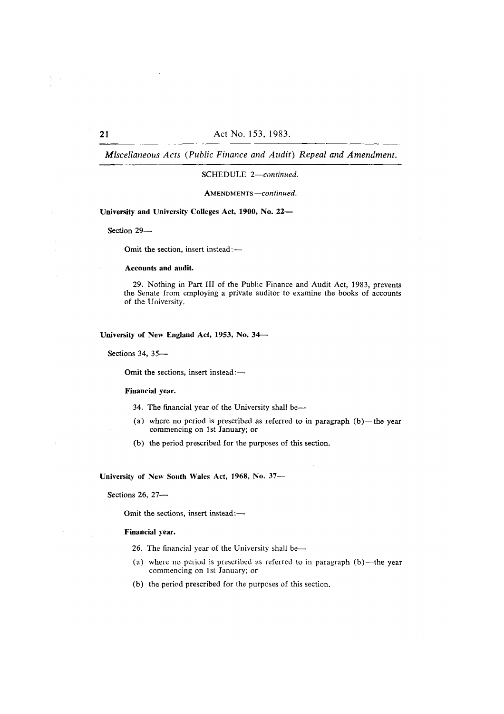### SCHEDULE 2-continued.

AMENDMENTS-continued.

University and University Colleges Act, 1900, No. 22-

Section 29-

Omit the section, insert instead:-

# Accounts and audit.

29. Nothing in Part III of the Public Finance and Audit Act, 1983, prevents the Senate from employing a private auditor to examine the books of accounts of the University.

# University of New England Act, 1953, No. 34-

Sections 34, 35-

Omit the sections, insert instead:-

#### Financial vear.

- 34. The financial year of the University shall be—
- (a) where no period is prescribed as referred to in paragraph  $(b)$ —the year commencing on 1st January; or
- (b) the period prescribed for the purposes of this section.

University of New South Wales Act, 1968, No. 37-

Sections 26, 27-

Omit the sections, insert instead:-

#### Financial year.

- 26. The financial year of the University shall be-
- (a) where no period is prescribed as referred to in paragraph (b)—the year commencing on 1st January; or
- (b) the period prescribed for the purposes of this section.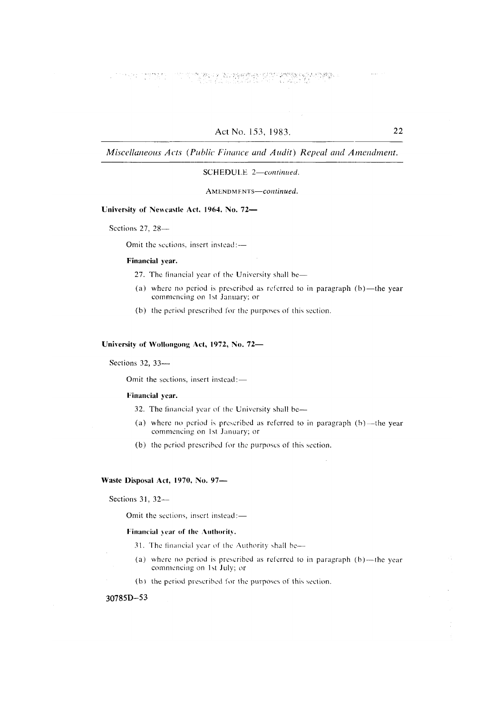$\label{eq:3} \mathcal{L}(\mathbf{y},\mathbf{y})=\mathcal{L}(\mathbf{y},\mathbf{y},\mathbf{y})=\mathcal{L}(\mathbf{y},\mathbf{y})$ an aggelari ne shon arrawa shi ne tarihin.<br>Bandar a tarihin a

Miscellaneous Acts (Public Finance and Audit) Repeal and Amendment.

# SCHEDULE 2-continued.

AMENDMENTS-continued.

### University of Newcastle Act, 1964, No. 72-

Sections 27, 28-

Omit the sections, insert instead:-

#### Financial year.

- 27. The financial year of the University shall be-
- (a) where no period is prescribed as referred to in paragraph  $(b)$ —the year commencing on 1st January; or
- (b) the period prescribed for the purposes of this section.

### University of Wollongong Act, 1972, No. 72-

### Sections 32, 33-

Omit the sections, insert instead:-

### Financial year.

- 32. The financial year of the University shall be-
- (a) where no period is prescribed as referred to in paragraph  $(b)$ —the year commencing on 1st January; or
- (b) the period prescribed for the purposes of this section.

### Waste Disposal Act, 1970, No. 97-

Sections 31, 32-

Omit the sections, insert instead:-

#### Financial year of the Authority.

- 31. The financial year of the Authority shall be-
- (a) where no period is prescribed as referred to in paragraph (b)-the year commencing on 1st July; or
- (b) the period prescribed for the purposes of this section.

# 30785D-53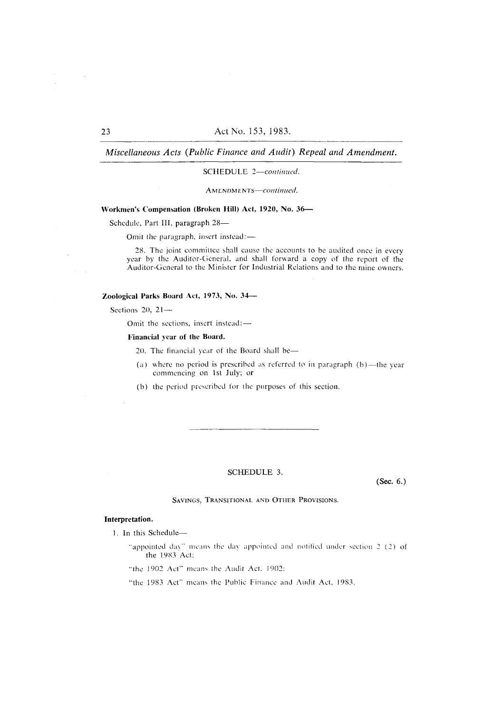### SCHEDULE 2-continued.

AMENDMENTS-continued.

# Workmen's Compensation (Broken Hill) Act, 1920, No. 36-

Schedule, Part III, paragraph 28-

Omit the paragraph, insert instead:-

28. The joint committee shall cause the accounts to be audited once in every year by the Auditor-General, and shall forward a copy of the report of the Auditor-General to the Minister for Industrial Relations and to the mine owners.

### Zoological Parks Board Act, 1973, No. 34-

Sections 20,  $21-$ 

Omit the sections, insert instead:-

#### Financial year of the Board.

20. The financial year of the Board shall be-

- (a) where no period is prescribed as referred to in paragraph  $(b)$ —the year commencing on 1st July; or
- (b) the period prescribed for the purposes of this section.

# SCHEDULE 3.

 $(Sec. 6.)$ 

### SAVINGS, TRANSITIONAL AND OTHER PROVISIONS.

### Interpretation.

1. In this Schedule-

"appointed day" means the day appointed and notified under section 2 (2) of the 1983 Act:

"the 1902 Act" means the Audit Act, 1902;

"the 1983 Act" means the Public Finance and Audit Act, 1983.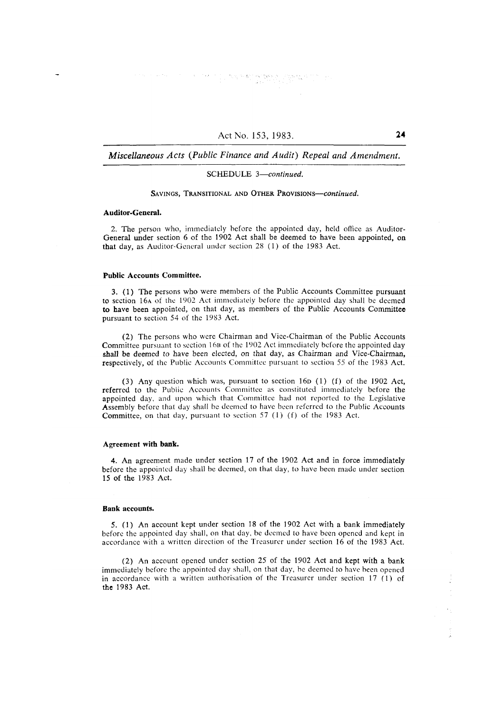#### SCHEDULE 3-continued.

### SAVINGS, TRANSITIONAL AND OTHER PROVISIONS-continued.

#### Auditor-General.

2. The person who, immediately before the appointed day, held office as Auditor-General under section 6 of the 1902 Act shall be deemed to have been appointed, on that day, as Auditor-General under section 28 (1) of the 1983 Act.

#### **Public Accounts Committee.**

3. (1) The persons who were members of the Public Accounts Committee pursuant to section 16A of the 1902 Act immediately before the appointed day shall be deemed to have been appointed, on that day, as members of the Public Accounts Committee pursuant to section 54 of the 1983 Act.

(2) The persons who were Chairman and Vice-Chairman of the Public Accounts Committee pursuant to section 16B of the 1902 Act immediately before the appointed day shall be deemed to have been elected, on that day, as Chairman and Vice-Chairman, respectively, of the Public Accounts Committee pursuant to section 55 of the 1983 Act.

(3) Any question which was, pursuant to section 16p (1) (f) of the 1902 Act. referred to the Public Accounts Committee as constituted immediately before the appointed day, and upon which that Committee had not reported to the Legislative Assembly before that day shall be deemed to have been referred to the Public Accounts Committee, on that day, pursuant to section 57 (1) (f) of the 1983 Act.

#### Agreement with bank.

4. An agreement made under section 17 of the 1902 Act and in force immediately before the appointed day shall be deemed, on that day, to have been made under section 15 of the 1983 Act.

#### **Bank accounts.**

5. (1) An account kept under section 18 of the 1902 Act with a bank immediately before the appointed day shall, on that day, be deemed to have been opened and kept in accordance with a written direction of the Treasurer under section 16 of the 1983 Act.

(2) An account opened under section 25 of the 1902 Act and kept with a bank immediately before the appointed day shall, on that day, be deemed to have been opened in accordance with a written authorisation of the Treasurer under section 17 (1) of the 1983 Act.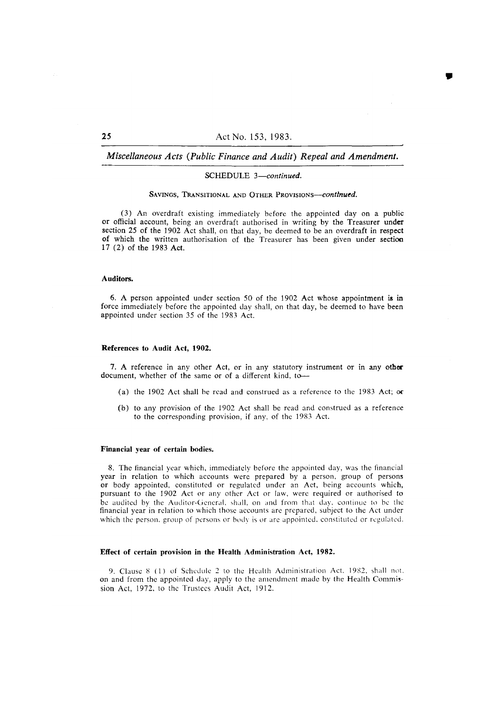#### SCHEDULE 3-continued.

# SAVINGS, TRANSITIONAL AND OTHER PROVISIONS-continued.

(3) An overdraft existing immediately before the appointed day on a public or official account, being an overdraft authorised in writing by the Treasurer under section 25 of the 1902 Act shall, on that day, be deemed to be an overdraft in respect of which the written authorisation of the Treasurer has been given under section 17 (2) of the 1983 Act.

#### Auditors.

6. A person appointed under section 50 of the 1902 Act whose appointment is in force immediately before the appointed day shall, on that day, be deemed to have been appointed under section 35 of the 1983 Act.

#### References to Audit Act, 1902.

7. A reference in any other Act, or in any statutory instrument or in any other document, whether of the same or of a different kind, to-

- (a) the 1902 Act shall be read and construed as a reference to the 1983 Act; or
- (b) to any provision of the 1902 Act shall be read and construed as a reference to the corresponding provision, if any, of the 1983 Act.

#### Financial year of certain bodies.

8. The financial year which, immediately before the appointed day, was the financial year in relation to which accounts were prepared by a person, group of persons or body appointed, constituted or regulated under an Act, being accounts which, pursuant to the 1902 Act or any other Act or law, were required or authorised to be audited by the Auditor-General, shall, on and from that day, continue to be the financial year in relation to which those accounts are prepared, subject to the Act under which the person, group of persons or body is or are appointed, constituted or regulated.

#### Effect of certain provision in the Health Administration Act, 1982.

9. Clause 8 (1) of Schedule 2 to the Health Administration Act, 1982, shall not, on and from the appointed day, apply to the amendment made by the Health Commission Act, 1972, to the Trustees Audit Act, 1912.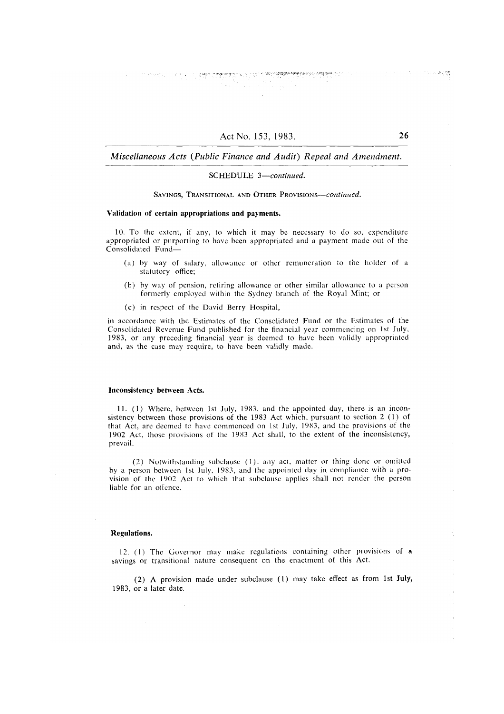# Miscellaneous Acts (Public Finance and Audit) Repeal and Amendment.

# SCHEDULE 3-continued.

#### SAVINGS, TRANSITIONAL AND OTHER PROVISIONS-continued.

# Validation of certain appropriations and payments.

10. To the extent, if any, to which it may be necessary to do so, expenditure appropriated or purporting to have been appropriated and a payment made out of the Consolidated Fund-

- (a) by way of salary, allowance or other remuneration to the holder of a statutory office;
- (b) by way of pension, retiring allowance or other similar allowance to a person formerly employed within the Sydney branch of the Royal Mint; or
- (c) in respect of the David Berry Hospital,

in accordance with the Estimates of the Consolidated Fund or the Estimates of the Consolidated Revenue Fund published for the financial year commencing on 1st July, 1983, or any preceding financial year is deemed to have been validly appropriated and, as the case may require, to have been validly made.

#### **Inconsistency between Acts.**

11. (1) Where, between 1st July, 1983, and the appointed day, there is an inconsistency between those provisions of the 1983 Act which, pursuant to section 2 (1) of that Act, are deemed to have commenced on 1st July, 1983, and the provisions of the 1902 Act, those provisions of the 1983 Act shall, to the extent of the inconsistency, prevail.

(2) Notwithstanding subclause (1), any act, matter or thing done or omitted by a person between 1st July, 1983, and the appointed day in compliance with a provision of the 1902 Act to which that subclause applies shall not render the person liable for an offence.

#### **Regulations.**

12. (1) The Governor may make regulations containing other provisions of a savings or transitional nature consequent on the enactment of this Act.

(2) A provision made under subclause (1) may take effect as from 1st July, 1983, or a later date.

 $\alpha$  -  $\alpha$  -  $\alpha$ 

1. 2012.4433